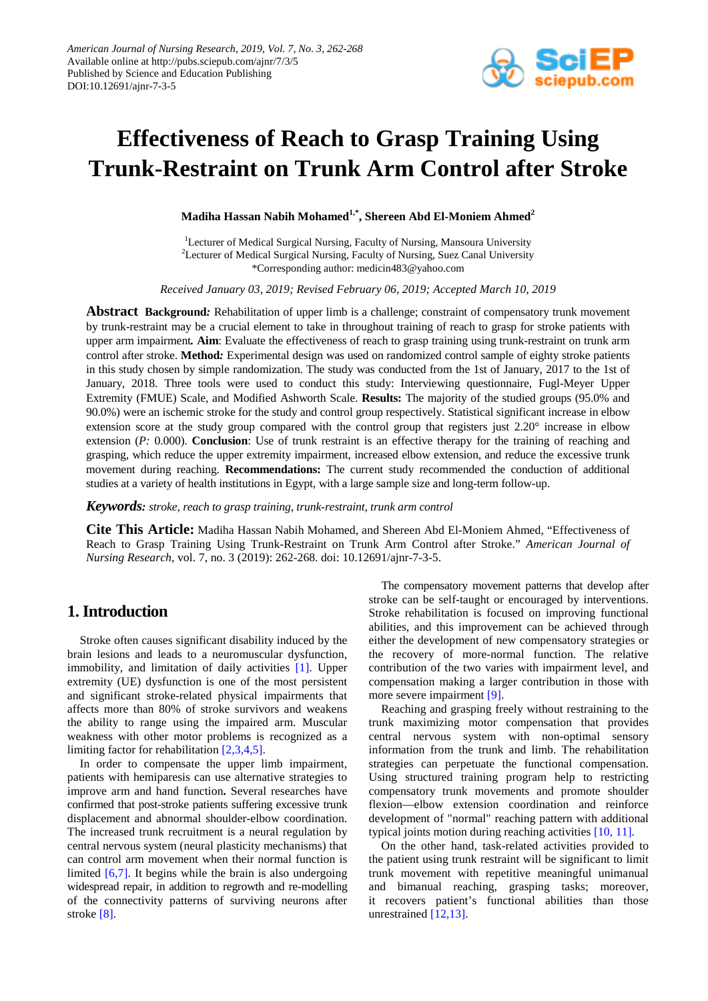

# **Effectiveness of Reach to Grasp Training Using Trunk-Restraint on Trunk Arm Control after Stroke**

**Madiha Hassan Nabih Mohamed1,\* , Shereen Abd El-Moniem Ahmed2**

<sup>1</sup>Lecturer of Medical Surgical Nursing, Faculty of Nursing, Mansoura University <sup>2</sup>Lecturer of Medical Surgical Nursing, Faculty of Nursing, Suez Canal University \*Corresponding author: medicin483@yahoo.com

*Received January 03, 2019; Revised February 06, 2019; Accepted March 10, 2019*

**Abstract Background***:* Rehabilitation of upper limb is a challenge; constraint of compensatory trunk movement by trunk-restraint may be a crucial element to take in throughout training of reach to grasp for stroke patients with upper arm impairment*.* **Aim**: Evaluate the effectiveness of reach to grasp training using trunk-restraint on trunk arm control after stroke. **Method***:* Experimental design was used on randomized control sample of eighty stroke patients in this study chosen by simple randomization. The study was conducted from the 1st of January, 2017 to the 1st of January, 2018. Three tools were used to conduct this study: Interviewing questionnaire, Fugl-Meyer Upper Extremity (FMUE) Scale, and Modified Ashworth Scale. **Results:** The majority of the studied groups (95.0% and 90.0%) were an ischemic stroke for the study and control group respectively. Statistical significant increase in elbow extension score at the study group compared with the control group that registers just 2.20° increase in elbow extension (*P:* 0.000). **Conclusion**: Use of trunk restraint is an effective therapy for the training of reaching and grasping, which reduce the upper extremity impairment, increased elbow extension, and reduce the excessive trunk movement during reaching. **Recommendations:** The current study recommended the conduction of additional studies at a variety of health institutions in Egypt, with a large sample size and long-term follow-up.

*Keywords: stroke, reach to grasp training, trunk-restraint, trunk arm control*

**Cite This Article:** Madiha Hassan Nabih Mohamed, and Shereen Abd El-Moniem Ahmed, "Effectiveness of Reach to Grasp Training Using Trunk-Restraint on Trunk Arm Control after Stroke." *American Journal of Nursing Research*, vol. 7, no. 3 (2019): 262-268. doi: 10.12691/ajnr-7-3-5.

# **1. Introduction**

Stroke often causes significant disability induced by the brain lesions and leads to a neuromuscular dysfunction, immobility, and limitation of daily activities [\[1\].](#page-5-0) Upper extremity (UE) dysfunction is one of the most persistent and significant stroke-related physical impairments that affects more than 80% of stroke survivors and weakens the ability to range using the impaired arm. Muscular weakness with other motor problems is recognized as a limiting factor for rehabilitatio[n \[2,3,4,5\].](#page-5-1)

In order to compensate the upper limb impairment, patients with hemiparesis can use alternative strategies to improve arm and hand function**.** Several researches have confirmed that post-stroke patients suffering excessive trunk displacement and abnormal shoulder-elbow coordination. The increased trunk recruitment is a neural regulation by central nervous system (neural plasticity mechanisms) that can control arm movement when their normal function is limited [\[6,7\].](#page-5-2) It begins while the brain is also undergoing widespread repair, in addition to regrowth and re-modelling of the connectivity patterns of surviving neurons after stroke [\[8\].](#page-5-3)

The compensatory movement patterns that develop after stroke can be self-taught or encouraged by interventions. Stroke rehabilitation is focused on improving functional abilities, and this improvement can be achieved through either the development of new compensatory strategies or the recovery of more-normal function. The relative contribution of the two varies with impairment level, and compensation making a larger contribution in those with more severe impairment [\[9\].](#page-5-4)

Reaching and grasping freely without restraining to the trunk maximizing motor compensation that provides central nervous system with non-optimal sensory information from the trunk and limb. The rehabilitation strategies can perpetuate the functional compensation. Using structured training program help to restricting compensatory trunk movements and promote shoulder flexion—elbow extension coordination and reinforce development of "normal" reaching pattern with additional typical joints motion during reaching activitie[s \[10, 11\].](#page-5-5) 

On the other hand, task-related activities provided to the patient using trunk restraint will be significant to limit trunk movement with repetitive meaningful unimanual and bimanual reaching, grasping tasks; moreover, it recovers patient's functional abilities than those unrestrained [\[12,13\].](#page-5-6)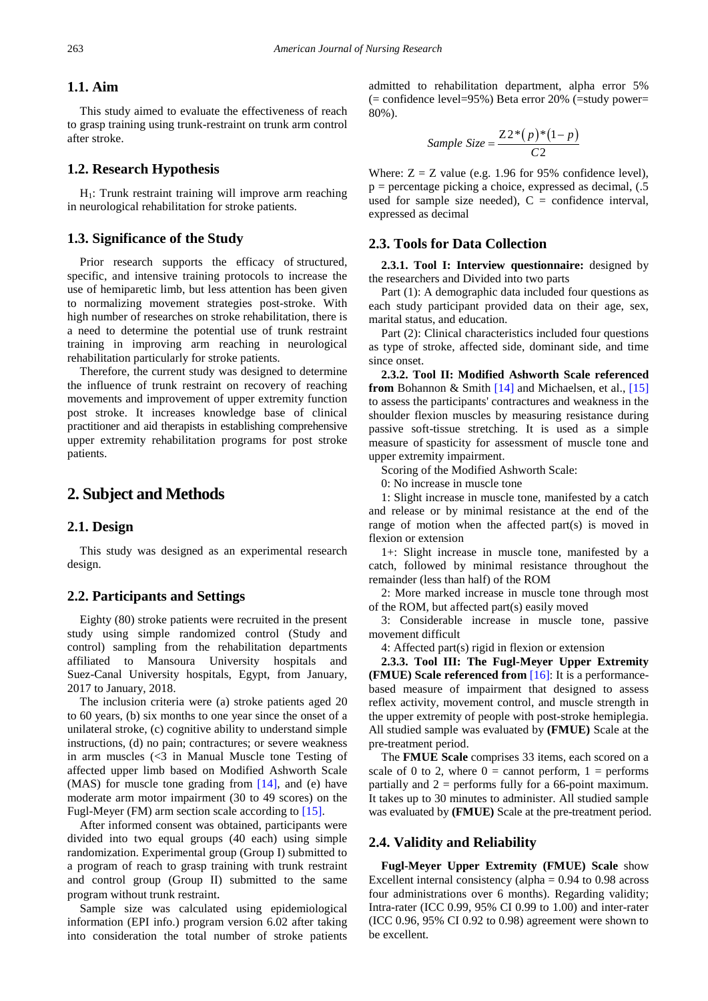## **1.1. Aim**

This study aimed to evaluate the effectiveness of reach to grasp training using trunk-restraint on trunk arm control after stroke.

#### **1.2. Research Hypothesis**

 $H<sub>1</sub>$ : Trunk restraint training will improve arm reaching in neurological rehabilitation for stroke patients.

## **1.3. Significance of the Study**

Prior research supports the efficacy of structured, specific, and intensive training protocols to increase the use of hemiparetic limb, but less attention has been given to normalizing movement strategies post-stroke. With high number of researches on stroke rehabilitation, there is a need to determine the potential use of trunk restraint training in improving arm reaching in neurological rehabilitation particularly for stroke patients.

Therefore, the current study was designed to determine the influence of trunk restraint on recovery of reaching movements and improvement of upper extremity function post stroke. It increases knowledge base of clinical practitioner and aid therapists in establishing comprehensive upper extremity rehabilitation programs for post stroke patients.

## **2. Subject and Methods**

## **2.1. Design**

This study was designed as an experimental research design.

## **2.2. Participants and Settings**

Eighty (80) stroke patients were recruited in the present study using simple randomized control (Study and control) sampling from the rehabilitation departments affiliated to Mansoura University hospitals and Suez-Canal University hospitals, Egypt, from January, 2017 to January, 2018.

The inclusion criteria were (a) stroke patients aged 20 to 60 years, (b) six months to one year since the onset of a unilateral stroke, (c) cognitive ability to understand simple instructions, (d) no pain; contractures; or severe weakness in arm muscles (<3 in Manual Muscle tone Testing of affected upper limb based on Modified Ashworth Scale (MAS) for muscle tone grading from [\[14\],](#page-5-7) and (e) have moderate arm motor impairment (30 to 49 scores) on the Fugl-Meyer (FM) arm section scale according to [\[15\].](#page-5-8)

After informed consent was obtained, participants were divided into two equal groups (40 each) using simple randomization. Experimental group (Group I) submitted to a program of reach to grasp training with trunk restraint and control group (Group II) submitted to the same program without trunk restraint.

Sample size was calculated using epidemiological information (EPI info.) program version 6.02 after taking into consideration the total number of stroke patients admitted to rehabilitation department, alpha error 5%  $(=$  confidence level=95%) Beta error 20%  $(=$ study power= 80%).

Sample Size = 
$$
\frac{Z2^*(p)^*(1-p)}{C2}
$$

Where:  $Z = Z$  value (e.g. 1.96 for 95% confidence level),  $p =$  percentage picking a choice, expressed as decimal,  $(0.5)$ used for sample size needed),  $C =$  confidence interval, expressed as decimal

## **2.3. Tools for Data Collection**

**2.3.1. Tool I: Interview questionnaire:** designed by the researchers and Divided into two parts

Part (1): A demographic data included four questions as each study participant provided data on their age, sex, marital status, and education.

Part (2): Clinical characteristics included four questions as type of stroke, affected side, dominant side, and time since onset.

**2.3.2. Tool II: Modified Ashworth Scale referenced from** Bohannon & Smith [\[14\]](#page-5-7) and Michaelsen, et al., [\[15\]](#page-5-8) to assess the participants' contractures and weakness in the shoulder flexion muscles by measuring resistance during passive soft-tissue stretching. It is used as a simple measure of spasticity for assessment of muscle tone and upper extremity impairment.

Scoring of the Modified Ashworth Scale:

0: No increase in muscle tone

1: Slight increase in muscle tone, manifested by a catch and release or by minimal resistance at the end of the range of motion when the affected part(s) is moved in flexion or extension

1+: Slight increase in muscle tone, manifested by a catch, followed by minimal resistance throughout the remainder (less than half) of the ROM

2: More marked increase in muscle tone through most of the ROM, but affected part(s) easily moved

3: Considerable increase in muscle tone, passive movement difficult

4: Affected part(s) rigid in flexion or extension

**2.3.3. Tool III: The Fugl-Meyer Upper Extremity (FMUE) Scale referenced from** [\[16\]:](#page-5-9) It is a performancebased measure of impairment that designed to assess reflex activity, movement control, and muscle strength in the upper extremity of people with post-stroke hemiplegia. All studied sample was evaluated by **(FMUE)** Scale at the pre-treatment period.

The **FMUE Scale** comprises 33 items, each scored on a scale of 0 to 2, where  $0 =$  cannot perform,  $1 =$  performs partially and 2 = performs fully for a 66-point maximum. It takes up to 30 minutes to administer. All studied sample was evaluated by **(FMUE)** Scale at the pre-treatment period.

#### **2.4. Validity and Reliability**

**Fugl-Meyer Upper Extremity (FMUE) Scale** show Excellent internal consistency (alpha  $= 0.94$  to 0.98 across four administrations over 6 months). Regarding validity; Intra-rater (ICC 0.99, 95% CI 0.99 to 1.00) and inter-rater (ICC 0.96, 95% CI 0.92 to 0.98) agreement were shown to be excellent.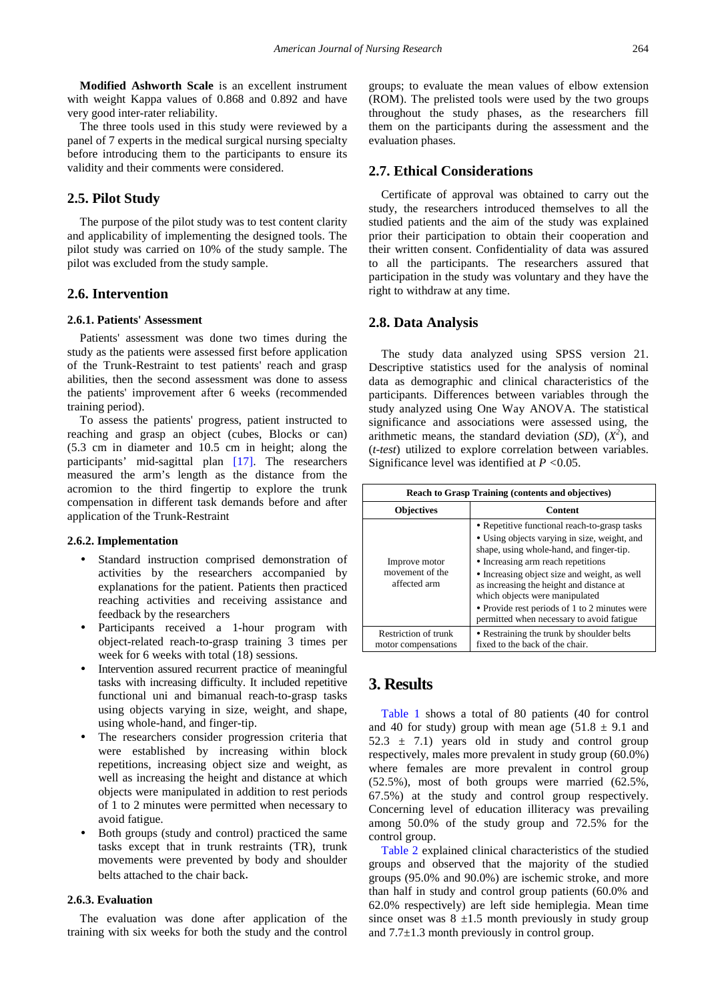**Modified Ashworth Scale** is an excellent instrument with weight Kappa values of 0.868 and 0.892 and have very good inter-rater reliability.

The three tools used in this study were reviewed by a panel of 7 experts in the medical surgical nursing specialty before introducing them to the participants to ensure its validity and their comments were considered.

## **2.5. Pilot Study**

The purpose of the pilot study was to test content clarity and applicability of implementing the designed tools. The pilot study was carried on 10% of the study sample. The pilot was excluded from the study sample.

## **2.6. Intervention**

#### **2.6.1. Patients' Assessment**

Patients' assessment was done two times during the study as the patients were assessed first before application of the Trunk-Restraint to test patients' reach and grasp abilities, then the second assessment was done to assess the patients' improvement after 6 weeks (recommended training period).

To assess the patients' progress, patient instructed to reaching and grasp an object (cubes, Blocks or can) (5.3 cm in diameter and 10.5 cm in height; along the participants' mid-sagittal plan [\[17\].](#page-5-10) The researchers measured the arm's length as the distance from the acromion to the third fingertip to explore the trunk compensation in different task demands before and after application of the Trunk-Restraint

#### **2.6.2. Implementation**

- Standard instruction comprised demonstration of activities by the researchers accompanied by explanations for the patient. Patients then practiced reaching activities and receiving assistance and feedback by the researchers
- Participants received a 1-hour program with object-related reach-to-grasp training 3 times per week for 6 weeks with total (18) sessions.
- Intervention assured recurrent practice of meaningful tasks with increasing difficulty. It included repetitive functional uni and bimanual reach-to-grasp tasks using objects varying in size, weight, and shape, using whole-hand, and finger-tip.
- The researchers consider progression criteria that were established by increasing within block repetitions, increasing object size and weight, as well as increasing the height and distance at which objects were manipulated in addition to rest periods of 1 to 2 minutes were permitted when necessary to avoid fatigue.
- Both groups (study and control) practiced the same tasks except that in trunk restraints (TR), trunk movements were prevented by body and shoulder belts attached to the chair back.

#### **2.6.3. Evaluation**

The evaluation was done after application of the training with six weeks for both the study and the control groups; to evaluate the mean values of elbow extension (ROM). The prelisted tools were used by the two groups throughout the study phases, as the researchers fill them on the participants during the assessment and the evaluation phases.

## **2.7. Ethical Considerations**

Certificate of approval was obtained to carry out the study, the researchers introduced themselves to all the studied patients and the aim of the study was explained prior their participation to obtain their cooperation and their written consent. Confidentiality of data was assured to all the participants. The researchers assured that participation in the study was voluntary and they have the right to withdraw at any time.

#### **2.8. Data Analysis**

The study data analyzed using SPSS version 21. Descriptive statistics used for the analysis of nominal data as demographic and clinical characteristics of the participants. Differences between variables through the study analyzed using One Way ANOVA. The statistical significance and associations were assessed using, the arithmetic means, the standard deviation (*SD*),  $(X^2)$ , and (*t*-*test*) utilized to explore correlation between variables. Significance level was identified at *P <*0.05.

<span id="page-2-0"></span>

| <b>Reach to Grasp Training (contents and objectives)</b> |                                                                                                                                                                                                                                                                                                                                                                                                            |  |  |
|----------------------------------------------------------|------------------------------------------------------------------------------------------------------------------------------------------------------------------------------------------------------------------------------------------------------------------------------------------------------------------------------------------------------------------------------------------------------------|--|--|
| <b>Objectives</b>                                        | <b>Content</b>                                                                                                                                                                                                                                                                                                                                                                                             |  |  |
| Improve motor<br>movement of the<br>affected arm         | • Repetitive functional reach-to-grasp tasks<br>• Using objects varying in size, weight, and<br>shape, using whole-hand, and finger-tip.<br>• Increasing arm reach repetitions<br>• Increasing object size and weight, as well<br>as increasing the height and distance at<br>which objects were manipulated<br>• Provide rest periods of 1 to 2 minutes were<br>permitted when necessary to avoid fatigue |  |  |
| <b>Restriction of trunk</b><br>motor compensations       | • Restraining the trunk by shoulder belts<br>fixed to the back of the chair.                                                                                                                                                                                                                                                                                                                               |  |  |

## **3. Results**

[Table 1](#page-2-0) shows a total of 80 patients (40 for control and 40 for study) group with mean age  $(51.8 \pm 9.1)$  and  $52.3 \pm 7.1$ ) years old in study and control group respectively, males more prevalent in study group (60.0%) where females are more prevalent in control group (52.5%), most of both groups were married (62.5%, 67.5%) at the study and control group respectively. Concerning level of education illiteracy was prevailing among 50.0% of the study group and 72.5% for the control group.

[Table 2](#page-3-0) explained clinical characteristics of the studied groups and observed that the majority of the studied groups (95.0% and 90.0%) are ischemic stroke, and more than half in study and control group patients (60.0% and 62.0% respectively) are left side hemiplegia. Mean time since onset was  $8 \pm 1.5$  month previously in study group and  $7.7\pm1.3$  month previously in control group.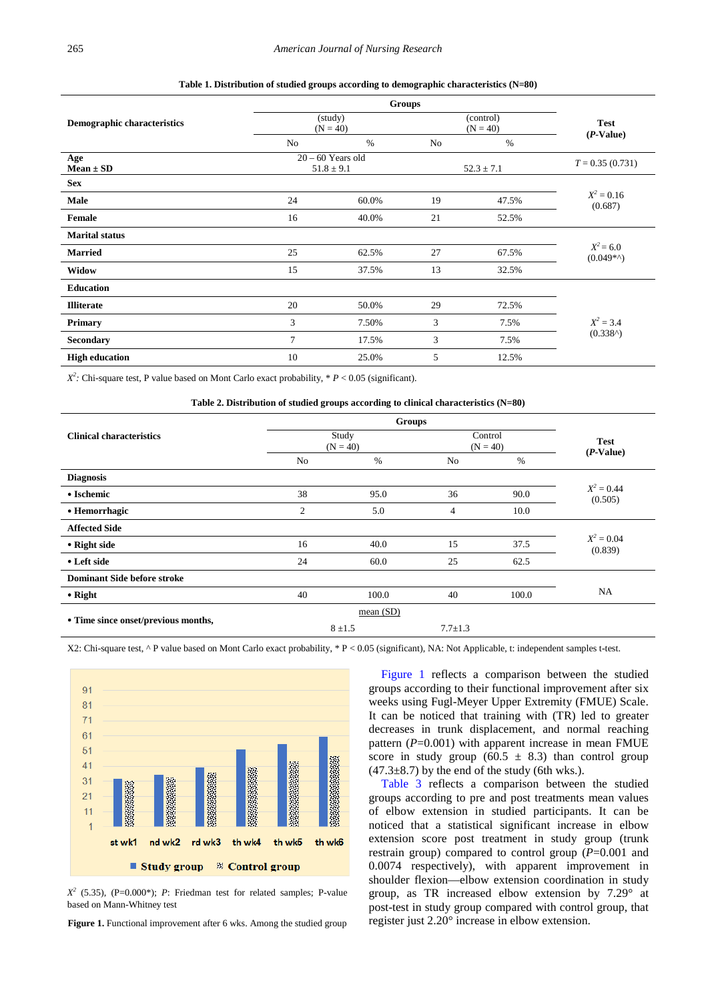<span id="page-3-0"></span>

|                             | <b>Groups</b> |                                       |                |                         |                            |
|-----------------------------|---------------|---------------------------------------|----------------|-------------------------|----------------------------|
| Demographic characteristics |               | (study)<br>$(N = 40)$                 |                | (control)<br>$(N = 40)$ | <b>Test</b><br>$(P-Value)$ |
|                             | No            | $\%$                                  | No             | $\%$                    |                            |
| Age<br>$Mean \pm SD$        |               | $20 - 60$ Years old<br>$51.8 \pm 9.1$ | $52.3 \pm 7.1$ |                         | $T = 0.35(0.731)$          |
| <b>Sex</b>                  |               |                                       |                |                         |                            |
| Male                        | 24            | 60.0%                                 | 19             | 47.5%                   | $X^2 = 0.16$<br>(0.687)    |
| Female                      | 16            | 40.0%                                 | 21             | 52.5%                   |                            |
| <b>Marital status</b>       |               |                                       |                |                         |                            |
| <b>Married</b>              | 25            | 62.5%                                 | 27             | 67.5%                   | $X^2 = 6.0$<br>$(0.049**)$ |
| Widow                       | 15            | 37.5%                                 | 13             | 32.5%                   |                            |
| <b>Education</b>            |               |                                       |                |                         |                            |
| <b>Illiterate</b>           | 20            | 50.0%                                 | 29             | 72.5%                   | $X^2 = 3.4$                |
| <b>Primary</b>              | 3             | 7.50%                                 | 3              | 7.5%                    |                            |
| <b>Secondary</b>            | $\tau$        | 17.5%                                 | 3              | 7.5%                    | (0.338)                    |
| <b>High education</b>       | 10            | 25.0%                                 | 5              | 12.5%                   |                            |

**Table 1. Distribution of studied groups according to demographic characteristics (N=80)**

*X2 :* Chi-square test, P value based on Mont Carlo exact probability, \* *P* < 0.05 (significant).

<span id="page-3-2"></span>

| Table 2. Distribution of studied groups according to clinical characteristics $(N=80)$ |                     |           |                       |       |                            |
|----------------------------------------------------------------------------------------|---------------------|-----------|-----------------------|-------|----------------------------|
|                                                                                        | <b>Groups</b>       |           |                       |       |                            |
| <b>Clinical characteristics</b>                                                        | Study<br>$(N = 40)$ |           | Control<br>$(N = 40)$ |       | <b>Test</b><br>$(P-Value)$ |
|                                                                                        | No                  | $\%$      | N <sub>0</sub>        | $\%$  |                            |
| <b>Diagnosis</b>                                                                       |                     |           |                       |       |                            |
| • Ischemic                                                                             | 38                  | 95.0      | 36                    | 90.0  | $X^2 = 0.44$<br>(0.505)    |
| • Hemorrhagic                                                                          | $\overline{2}$      | 5.0       | $\overline{4}$        | 10.0  |                            |
| <b>Affected Side</b>                                                                   |                     |           |                       |       |                            |
| • Right side                                                                           | 16                  | 40.0      | 15                    | 37.5  | $X^2 = 0.04$<br>(0.839)    |
| • Left side                                                                            | 24                  | 60.0      | 25                    | 62.5  |                            |
| <b>Dominant Side before stroke</b>                                                     |                     |           |                       |       |                            |
| $\bullet$ Right                                                                        | 40                  | 100.0     | 40                    | 100.0 | <b>NA</b>                  |
| • Time since onset/previous months,                                                    | mean $(SD)$         |           |                       |       |                            |
|                                                                                        |                     | $8 + 1.5$ | $7.7 \pm 1.3$         |       |                            |

X2: Chi-square test, ^ P value based on Mont Carlo exact probability, \* P < 0.05 (significant), NA: Not Applicable, t: independent samples t-test.

<span id="page-3-1"></span>

 $X^2$  (5.35), (P=0.000\*); *P*: Friedman test for related samples; P-value based on Mann-Whitney test

**Figure 1.** Functional improvement after 6 wks. Among the studied group

[Figure 1](#page-3-1) reflects a comparison between the studied groups according to their functional improvement after six weeks using Fugl-Meyer Upper Extremity (FMUE) Scale. It can be noticed that training with (TR) led to greater decreases in trunk displacement, and normal reaching pattern  $(P=0.001)$  with apparent increase in mean FMUE score in study group (60.5  $\pm$  8.3) than control group  $(47.3\pm8.7)$  by the end of the study (6th wks.).

[Table 3](#page-3-2) reflects a comparison between the studied groups according to pre and post treatments mean values of elbow extension in studied participants. It can be noticed that a statistical significant increase in elbow extension score post treatment in study group (trunk restrain group) compared to control group (*P*=0.001 and 0.0074 respectively), with apparent improvement in shoulder flexion—elbow extension coordination in study group, as TR increased elbow extension by 7.29° at post-test in study group compared with control group, that register just 2.20° increase in elbow extension.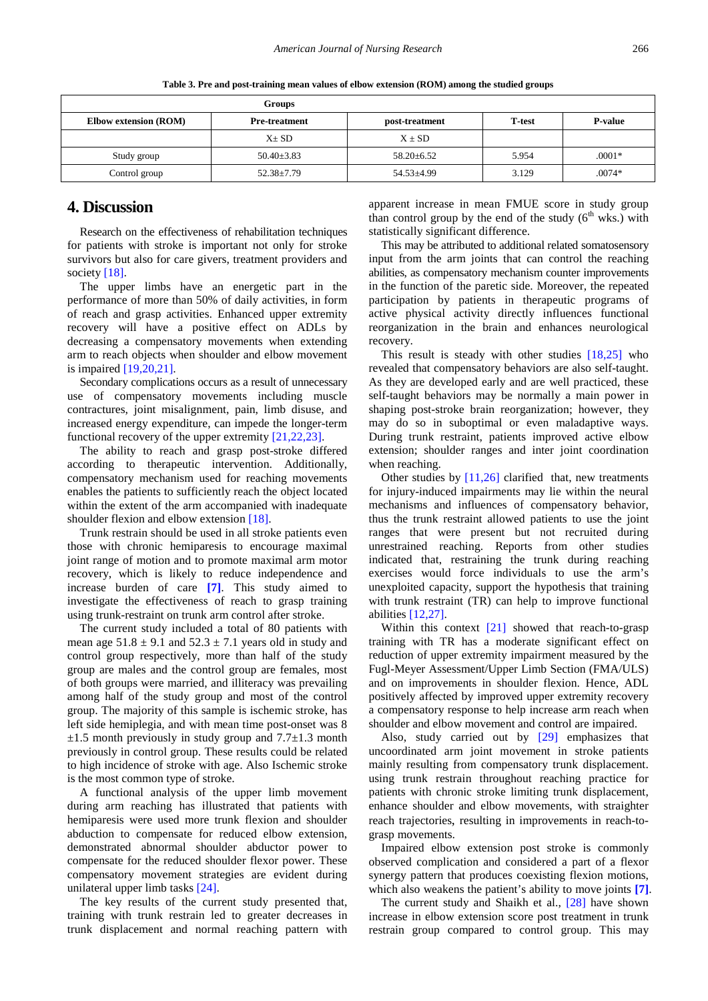|                              | <b>Groups</b>        |                  |       |                |
|------------------------------|----------------------|------------------|-------|----------------|
| <b>Elbow extension (ROM)</b> | <b>Pre-treatment</b> | post-treatment   |       | <b>P-value</b> |
|                              | $X \pm SD$           | $X \pm SD$       |       |                |
| Study group                  | $50.40 \pm 3.83$     | $58.20 \pm 6.52$ | 5.954 | $.0001*$       |
| Control group                | $52.38 \pm 7.79$     | $54.53 \pm 4.99$ | 3.129 | $.0074*$       |

**Table 3. Pre and post-training mean values of elbow extension (ROM) among the studied groups**

# **4. Discussion**

Research on the effectiveness of rehabilitation techniques for patients with stroke is important not only for stroke survivors but also for care givers, treatment providers and societ[y \[18\].](#page-5-11)

The upper limbs have an energetic part in the performance of more than 50% of daily activities, in form of reach and grasp activities. Enhanced upper extremity recovery will have a positive effect on ADLs by decreasing a compensatory movements when extending arm to reach objects when shoulder and elbow movement is impaired [\[19,20,21\].](#page-5-12)

Secondary complications occurs as a result of unnecessary use of compensatory movements including muscle contractures, joint misalignment, pain, limb disuse, and increased energy expenditure, can impede the longer-term functional recovery of the upper extremity [\[21,22,23\].](#page-5-13)

The ability to reach and grasp post-stroke differed according to therapeutic intervention. Additionally, compensatory mechanism used for reaching movements enables the patients to sufficiently reach the object located within the extent of the arm accompanied with inadequate shoulder flexion and elbow extension [\[18\].](#page-5-11)

Trunk restrain should be used in all stroke patients even those with chronic hemiparesis to encourage maximal joint range of motion and to promote maximal arm motor recovery, which is likely to reduce independence and increase burden of care **[\[7\]](#page-5-14)**. This study aimed to investigate the effectiveness of reach to grasp training using trunk-restraint on trunk arm control after stroke.

The current study included a total of 80 patients with mean age  $51.8 \pm 9.1$  and  $52.3 \pm 7.1$  years old in study and control group respectively, more than half of the study group are males and the control group are females, most of both groups were married, and illiteracy was prevailing among half of the study group and most of the control group. The majority of this sample is ischemic stroke, has left side hemiplegia, and with mean time post-onset was 8  $\pm 1.5$  month previously in study group and 7.7 $\pm 1.3$  month previously in control group. These results could be related to high incidence of stroke with age. Also Ischemic stroke is the most common type of stroke.

A functional analysis of the upper limb movement during arm reaching has illustrated that patients with hemiparesis were used more trunk flexion and shoulder abduction to compensate for reduced elbow extension, demonstrated abnormal shoulder abductor power to compensate for the reduced shoulder flexor power. These compensatory movement strategies are evident during unilateral upper limb tasks [\[24\].](#page-6-0)

The key results of the current study presented that, training with trunk restrain led to greater decreases in trunk displacement and normal reaching pattern with apparent increase in mean FMUE score in study group than control group by the end of the study  $(6<sup>th</sup>$  wks.) with statistically significant difference.

This may be attributed to additional related somatosensory input from the arm joints that can control the reaching abilities, as compensatory mechanism counter improvements in the function of the paretic side. Moreover, the repeated participation by patients in therapeutic programs of active physical activity directly influences functional reorganization in the brain and enhances neurological recovery.

This result is steady with other studies [\[18,25\]](#page-5-11) who revealed that compensatory behaviors are also self-taught. As they are developed early and are well practiced, these self-taught behaviors may be normally a main power in shaping post-stroke brain reorganization; however, they may do so in suboptimal or even maladaptive ways. During trunk restraint, patients improved active elbow extension; shoulder ranges and inter joint coordination when reaching.

Other studies by  $[11,26]$  clarified that, new treatments for injury-induced impairments may lie within the neural mechanisms and influences of compensatory behavior, thus the trunk restraint allowed patients to use the joint ranges that were present but not recruited during unrestrained reaching. Reports from other studies indicated that, restraining the trunk during reaching exercises would force individuals to use the arm's unexploited capacity, support the hypothesis that training with trunk restraint (TR) can help to improve functional abilities [\[12,27\].](#page-5-6)

Within this context [\[21\]](#page-5-13) showed that reach-to-grasp training with TR has a moderate significant effect on reduction of upper extremity impairment measured by the Fugl-Meyer Assessment/Upper Limb Section (FMA/ULS) and on improvements in shoulder flexion. Hence, ADL positively affected by improved upper extremity recovery a compensatory response to help increase arm reach when shoulder and elbow movement and control are impaired.

Also, study carried out by [\[29\]](#page-6-1) emphasizes that uncoordinated arm joint movement in stroke patients mainly resulting from compensatory trunk displacement. using trunk restrain throughout reaching practice for patients with chronic stroke limiting trunk displacement, enhance shoulder and elbow movements, with straighter reach trajectories, resulting in improvements in reach-tograsp movements.

Impaired elbow extension post stroke is commonly observed complication and considered a part of a flexor synergy pattern that produces coexisting flexion motions, which also weakens the patient's ability to move joints **[\[7\]](#page-5-14)**.

The current study and Shaikh et al., [\[28\]](#page-6-2) have shown increase in elbow extension score post treatment in trunk restrain group compared to control group. This may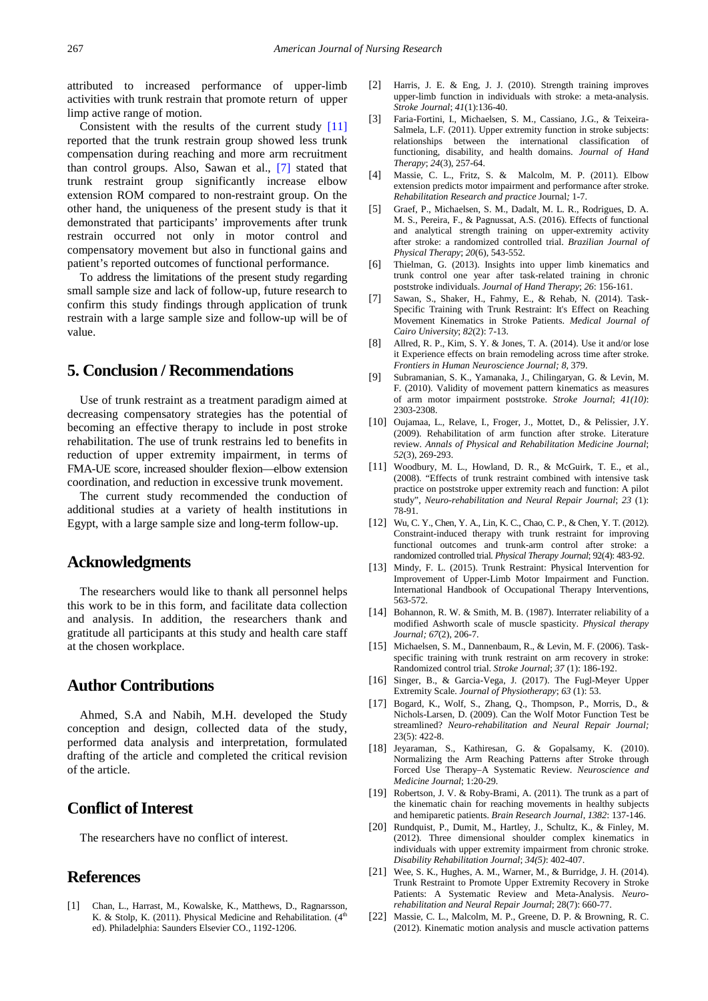attributed to increased performance of upper-limb activities with trunk restrain that promote return of upper limp active range of motion.

Consistent with the results of the current study [\[11\]](#page-5-15) reported that the trunk restrain group showed less trunk compensation during reaching and more arm recruitment than control groups. Also, Sawan et al., [\[7\]](#page-5-14) stated that trunk restraint group significantly increase elbow extension ROM compared to non-restraint group. On the other hand, the uniqueness of the present study is that it demonstrated that participants' improvements after trunk restrain occurred not only in motor control and compensatory movement but also in functional gains and patient's reported outcomes of functional performance.

To address the limitations of the present study regarding small sample size and lack of follow-up, future research to confirm this study findings through application of trunk restrain with a large sample size and follow-up will be of value.

# **5. Conclusion / Recommendations**

Use of trunk restraint as a treatment paradigm aimed at decreasing compensatory strategies has the potential of becoming an effective therapy to include in post stroke rehabilitation. The use of trunk restrains led to benefits in reduction of upper extremity impairment, in terms of FMA-UE score, increased shoulder flexion—elbow extension coordination, and reduction in excessive trunk movement.

The current study recommended the conduction of additional studies at a variety of health institutions in Egypt, with a large sample size and long-term follow-up.

## **Acknowledgments**

The researchers would like to thank all personnel helps this work to be in this form, and facilitate data collection and analysis. In addition, the researchers thank and gratitude all participants at this study and health care staff at the chosen workplace.

# **Author Contributions**

Ahmed, S.A and Nabih, M.H. developed the Study conception and design, collected data of the study, performed data analysis and interpretation, formulated drafting of the article and completed the critical revision of the article.

# **Conflict of Interest**

The researchers have no conflict of interest.

## **References**

<span id="page-5-0"></span>[1] Chan, L., Harrast, M., Kowalske, K., Matthews, D., Ragnarsson, K. & Stolp, K. (2011). Physical Medicine and Rehabilitation. (4<sup>th</sup> ed). Philadelphia: Saunders Elsevier CO., 1192-1206.

- <span id="page-5-1"></span>[2] Harris, J. E. & Eng, J. J. (2010). Strength training improves upper-limb function in individuals with stroke: a meta-analysis. *Stroke Journal*; *41*(1):136-40.
- [3] Faria-Fortini, I., Michaelsen, S. M., Cassiano, J.G., & Teixeira-Salmela, L.F. (2011). Upper extremity function in stroke subjects: relationships between the international classification of functioning, disability, and health domains. *Journal of Hand Therapy*; *24*(3), 257-64.
- [4] Massie, C. L., Fritz, S. & Malcolm, M. P. (2011). Elbow extension predicts motor impairment and performance after stroke. *Rehabilitation Research and practice* Journal*;* 1-7.
- [5] Graef, P., Michaelsen, S. M., Dadalt, M. L. R., Rodrigues, D. A. M. S., Pereira, F., & Pagnussat, A.S. (2016). Effects of functional and analytical strength training on upper-extremity activity after stroke: a randomized controlled trial. *Brazilian Journal of Physical Therapy*; *20*(6), 543-552.
- <span id="page-5-2"></span>[6] Thielman, G. (2013). Insights into upper limb kinematics and trunk control one year after task-related training in chronic poststroke individuals. *Journal of Hand Therapy*; *26*: 156-161.
- <span id="page-5-14"></span>[7] Sawan, S., Shaker, H., Fahmy, E., & Rehab, N. (2014). Task-Specific Training with Trunk Restraint: It's Effect on Reaching Movement Kinematics in Stroke Patients. *Medical Journal of Cairo University*; *82*(2): 7-13.
- <span id="page-5-3"></span>[8] Allred, R. P., Kim, S. Y. & Jones, T. A. (2014). Use it and/or lose it Experience effects on brain remodeling across time after stroke. *Frontiers in Human Neuroscience Journal; 8*, 379.
- <span id="page-5-4"></span>[9] Subramanian, S. K., Yamanaka, J., Chilingaryan, G. & Levin, M. F. (2010). Validity of movement pattern kinematics as measures of arm motor impairment poststroke. *Stroke Journal*; *41(10)*: 2303-2308.
- <span id="page-5-5"></span>[10] Oujamaa, L., Relave, I., Froger, J., Mottet, D., & Pelissier, J.Y. (2009). Rehabilitation of arm function after stroke. Literature review. *Annals of Physical and Rehabilitation Medicine Journal*; *52*(3), 269-293.
- <span id="page-5-15"></span>[11] Woodbury, M. L., Howland, D. R., & McGuirk, T. E., et al., (2008). "Effects of trunk restraint combined with intensive task practice on poststroke upper extremity reach and function: A pilot study", *Neuro-rehabilitation and Neural Repair Journal*; *23* (1): 78-91.
- <span id="page-5-6"></span>[12] Wu, C. Y., Chen, Y. A., Lin, K. C., Chao, C. P., & Chen, Y. T. (2012). Constraint-induced therapy with trunk restraint for improving functional outcomes and trunk-arm control after stroke: a randomized controlled trial. *Physical Therapy Journal*; 92(4): 483-92.
- [13] Mindy, F. L. (2015). Trunk Restraint: Physical Intervention for Improvement of Upper-Limb Motor Impairment and Function. International Handbook of Occupational Therapy Interventions, 563-572.
- <span id="page-5-7"></span>[14] Bohannon, R. W. & Smith, M. B. (1987). Interrater reliability of a modified Ashworth scale of muscle spasticity. *Physical therapy Journal; 67*(2), 206-7.
- <span id="page-5-8"></span>[15] Michaelsen, S. M., Dannenbaum, R., & Levin, M. F. (2006). Taskspecific training with trunk restraint on arm recovery in stroke: Randomized control trial. *Stroke Journal*; *37* (1): 186-192.
- <span id="page-5-9"></span>[16] Singer, B., & Garcia-Vega, J. (2017). The Fugl-Meyer Upper Extremity Scale. *Journal of Physiotherapy*; *63* (1): 53.
- <span id="page-5-10"></span>[17] Bogard, K., Wolf, S., Zhang, Q., Thompson, P., Morris, D., & Nichols-Larsen, D. (2009). Can the Wolf Motor Function Test be streamlined? *Neuro-rehabilitation and Neural Repair Journal;* 23(5): 422-8.
- <span id="page-5-11"></span>[18] Jeyaraman, S., Kathiresan, G. & Gopalsamy, K. (2010). Normalizing the Arm Reaching Patterns after Stroke through Forced Use Therapy–A Systematic Review. *Neuroscience and Medicine Journal*; 1:20-29.
- <span id="page-5-12"></span>[19] Robertson, J. V. & Roby-Brami, A. (2011). The trunk as a part of the kinematic chain for reaching movements in healthy subjects and hemiparetic patients. *Brain Research Journal*, *1382*: 137-146.
- [20] Rundquist, P., Dumit, M., Hartley, J., Schultz, K., & Finley, M. (2012). Three dimensional shoulder complex kinematics in individuals with upper extremity impairment from chronic stroke. *Disability Rehabilitation Journal*; *34(5)*: 402-407.
- <span id="page-5-13"></span>[21] Wee, S. K., Hughes, A. M., Warner, M., & Burridge, J. H. (2014). Trunk Restraint to Promote Upper Extremity Recovery in Stroke Patients: A Systematic Review and Meta-Analysis. *Neurorehabilitation and Neural Repair Journal*; 28(7): 660-77.
- [22] Massie, C. L., Malcolm, M. P., Greene, D. P. & Browning, R. C. (2012). Kinematic motion analysis and muscle activation patterns